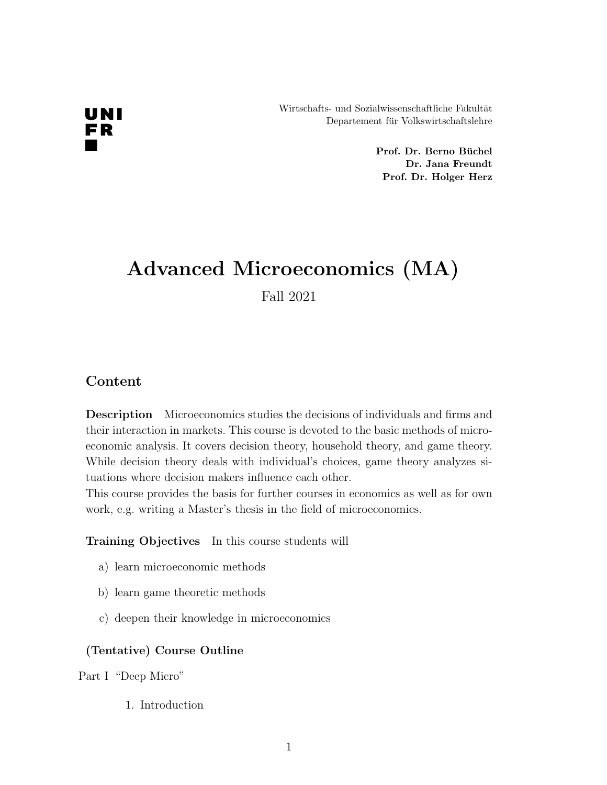Wirtschafts- und Sozialwissenschaftliche Fakultät Departement für Volkswirtschaftslehre

> Prof. Dr. Berno Büchel Dr. Jana Freundt Prof. Dr. Holger Herz

## Advanced Microeconomics (MA)

Fall 2021

### Content

Description Microeconomics studies the decisions of individuals and firms and their interaction in markets. This course is devoted to the basic methods of microeconomic analysis. It covers decision theory, household theory, and game theory. While decision theory deals with individual's choices, game theory analyzes situations where decision makers influence each other.

This course provides the basis for further courses in economics as well as for own work, e.g. writing a Master's thesis in the field of microeconomics.

Training Objectives In this course students will

- a) learn microeconomic methods
- b) learn game theoretic methods
- c) deepen their knowledge in microeconomics

#### (Tentative) Course Outline

Part I "Deep Micro"

1. Introduction

# UNI FR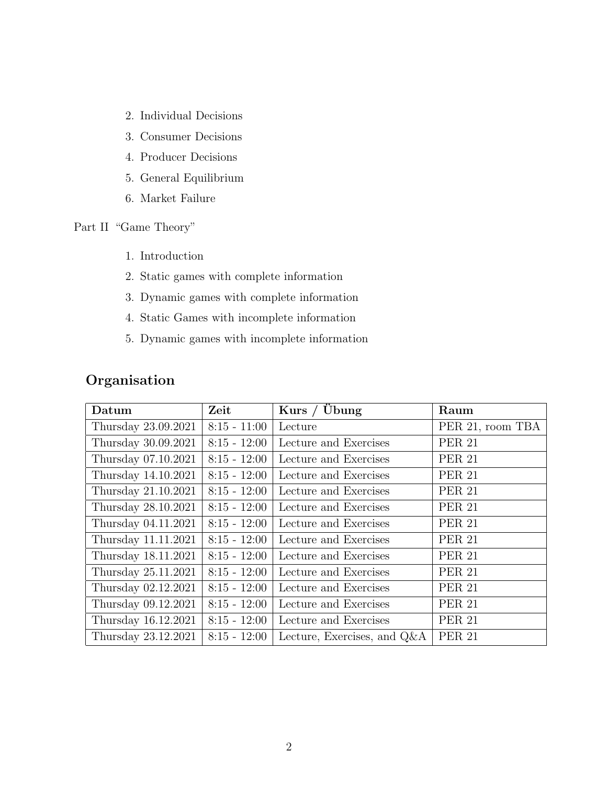- 2. Individual Decisions
- 3. Consumer Decisions
- 4. Producer Decisions
- 5. General Equilibrium
- 6. Market Failure

Part II "Game Theory"

- 1. Introduction
- 2. Static games with complete information
- 3. Dynamic games with complete information
- 4. Static Games with incomplete information
- 5. Dynamic games with incomplete information

| Organisation |
|--------------|
|              |

| Datum               | Zeit           | Kurs / $Übung$                 | Raum             |
|---------------------|----------------|--------------------------------|------------------|
| Thursday 23.09.2021 | $8:15 - 11:00$ | Lecture                        | PER 21, room TBA |
| Thursday 30.09.2021 | $8:15 - 12:00$ | Lecture and Exercises          | <b>PER 21</b>    |
| Thursday 07.10.2021 | $8:15 - 12:00$ | Lecture and Exercises          | <b>PER 21</b>    |
| Thursday 14.10.2021 | $8:15 - 12:00$ | Lecture and Exercises          | <b>PER 21</b>    |
| Thursday 21.10.2021 | $8:15 - 12:00$ | Lecture and Exercises          | <b>PER 21</b>    |
| Thursday 28.10.2021 | $8:15 - 12:00$ | Lecture and Exercises          | <b>PER 21</b>    |
| Thursday 04.11.2021 | $8:15 - 12:00$ | Lecture and Exercises          | <b>PER 21</b>    |
| Thursday 11.11.2021 | $8:15 - 12:00$ | Lecture and Exercises          | <b>PER 21</b>    |
| Thursday 18.11.2021 | $8:15 - 12:00$ | Lecture and Exercises          | <b>PER 21</b>    |
| Thursday 25.11.2021 | $8:15 - 12:00$ | Lecture and Exercises          | <b>PER 21</b>    |
| Thursday 02.12.2021 | $8:15 - 12:00$ | Lecture and Exercises          | <b>PER 21</b>    |
| Thursday 09.12.2021 | $8:15 - 12:00$ | Lecture and Exercises          | <b>PER 21</b>    |
| Thursday 16.12.2021 | $8:15 - 12:00$ | Lecture and Exercises          | <b>PER 21</b>    |
| Thursday 23.12.2021 | $8:15 - 12:00$ | Lecture, Exercises, and $Q\&A$ | <b>PER 21</b>    |